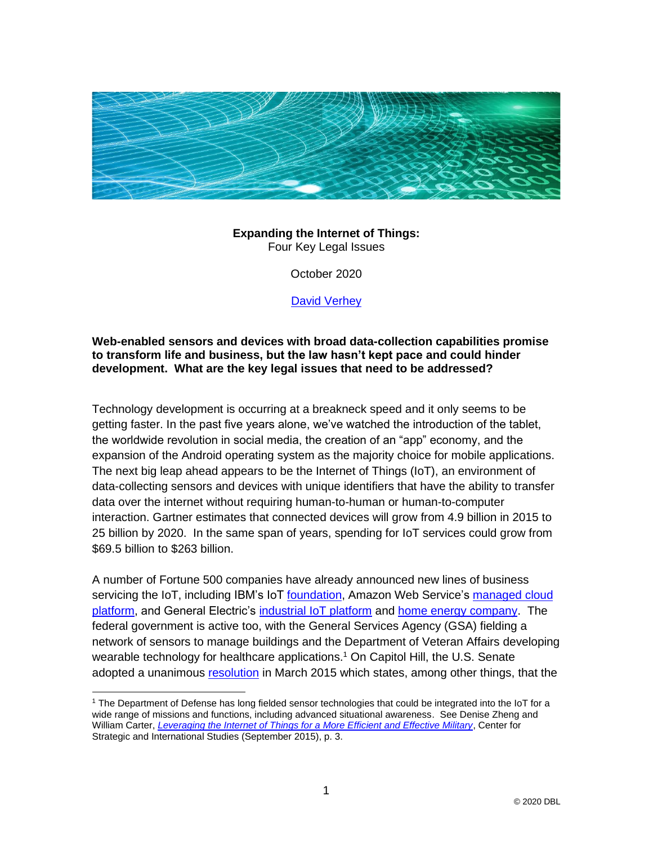

#### **Expanding the Internet of Things:** Four Key Legal Issues

October 2020

#### [David Verhey](https://www.linkedin.com/in/davidverhey)

#### **Web-enabled sensors and devices with broad data-collection capabilities promise to transform life and business, but the law hasn't kept pace and could hinder development. What are the key legal issues that need to be addressed?**

Technology development is occurring at a breakneck speed and it only seems to be getting faster. In the past five years alone, we've watched the introduction of the tablet, the worldwide revolution in social media, the creation of an "app" economy, and the expansion of the Android operating system as the majority choice for mobile applications. The next big leap ahead appears to be the Internet of Things (IoT), an environment of data-collecting sensors and devices with unique identifiers that have the ability to transfer data over the internet without requiring human-to-human or human-to-computer interaction. Gartner estimates that connected devices will grow from 4.9 billion in 2015 to 25 billion by 2020. In the same span of years, spending for IoT services could grow from \$69.5 billion to \$263 billion.

A number of Fortune 500 companies have already announced new lines of business servicing the IoT, including IBM's IoT [foundation,](http://www-03.ibm.com/software/products/en/internet-of-things-foundation) Amazon Web Service's [managed cloud](https://aws.amazon.com/iot/)  [platform,](https://aws.amazon.com/iot/) and General Electric's [industrial IoT platform](https://www.ge.com/digital/predix) and [home energy company.](http://fortune.com/2015/10/07/ge-current/) The federal government is active too, with the General Services Agency (GSA) fielding a network of sensors to manage buildings and the Department of Veteran Affairs developing wearable technology for healthcare applications.<sup>1</sup> On Capitol Hill, the U.S. Senate adopted a unanimous [resolution](https://www.congress.gov/114/bills/sres110/BILLS-114sres110ats.pdf) in March 2015 which states, among other things, that the

<sup>1</sup> The Department of Defense has long fielded sensor technologies that could be integrated into the IoT for a wide range of missions and functions, including advanced situational awareness. See Denise Zheng and William Carter, *[Leveraging the Internet of Things for a More Efficient and Effective Military](http://csis.org/files/publication/150915_Zheng_LeveragingInternet_WEB.pdf)*, Center for Strategic and International Studies (September 2015), p. 3.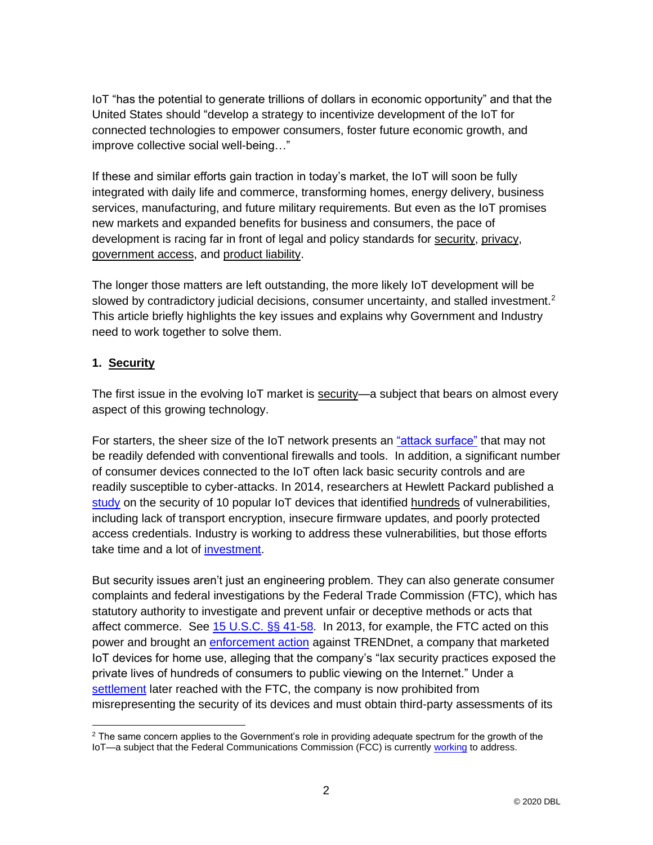IoT "has the potential to generate trillions of dollars in economic opportunity" and that the United States should "develop a strategy to incentivize development of the IoT for connected technologies to empower consumers, foster future economic growth, and improve collective social well-being…"

If these and similar efforts gain traction in today's market, the IoT will soon be fully integrated with daily life and commerce, transforming homes, energy delivery, business services, manufacturing, and future military requirements. But even as the IoT promises new markets and expanded benefits for business and consumers, the pace of development is racing far in front of legal and policy standards for security, privacy, government access, and product liability.

The longer those matters are left outstanding, the more likely IoT development will be slowed by contradictory judicial decisions, consumer uncertainty, and stalled investment.<sup>2</sup> This article briefly highlights the key issues and explains why Government and Industry need to work together to solve them.

#### **1. Security**

The first issue in the evolving IoT market is security—a subject that bears on almost every aspect of this growing technology.

For starters, the sheer size of the IoT network presents an ["attack surface"](http://www.darkreading.com/vulnerabilities---threats/the-unintended-attack-surface-of-the-internet-of-things/a/d-id/1322393) that may not be readily defended with conventional firewalls and tools. In addition, a significant number of consumer devices connected to the IoT often lack basic security controls and are readily susceptible to cyber-attacks. In 2014, researchers at Hewlett Packard published a [study](http://www8.hp.com/h20195/V2/GetPDF.aspx/4AA5-4759ENW.pdf) on the security of 10 popular IoT devices that identified hundreds of vulnerabilities, including lack of transport encryption, insecure firmware updates, and poorly protected access credentials. Industry is working to address these vulnerabilities, but those efforts take time and a lot of [investment.](http://www.toptal.com/it/are-we-creating-an-insecure-internet-of-things)

But security issues aren't just an engineering problem. They can also generate consumer complaints and federal investigations by the Federal Trade Commission (FTC), which has statutory authority to investigate and prevent unfair or deceptive methods or acts that affect commerce. See [15 U.S.C. §§ 41-58.](https://www.law.cornell.edu/uscode/text/15/41) In 2013, for example, the FTC acted on this power and brought an [enforcement action](https://www.ftc.gov/news-events/press-releases/2014/02/ftc-approves-final-order-settling-charges-against-trendnet-inc) against TRENDnet, a company that marketed IoT devices for home use, alleging that the company's "lax security practices exposed the private lives of hundreds of consumers to public viewing on the Internet." Under a [settlement](https://www.ftc.gov/sites/default/files/documents/cases/2013/09/130903trendnetorder.pdf) later reached with the FTC, the company is now prohibited from misrepresenting the security of its devices and must obtain third-party assessments of its

<sup>&</sup>lt;sup>2</sup> The same concern applies to the Government's role in providing adequate spectrum for the growth of the IoT—a subject that the Federal Communications Commission (FCC) is currently [working](http://www.lexology.com/library/detail.aspx?g=34006852-3a4c-41f7-9781-0655e4b98b6f) to address.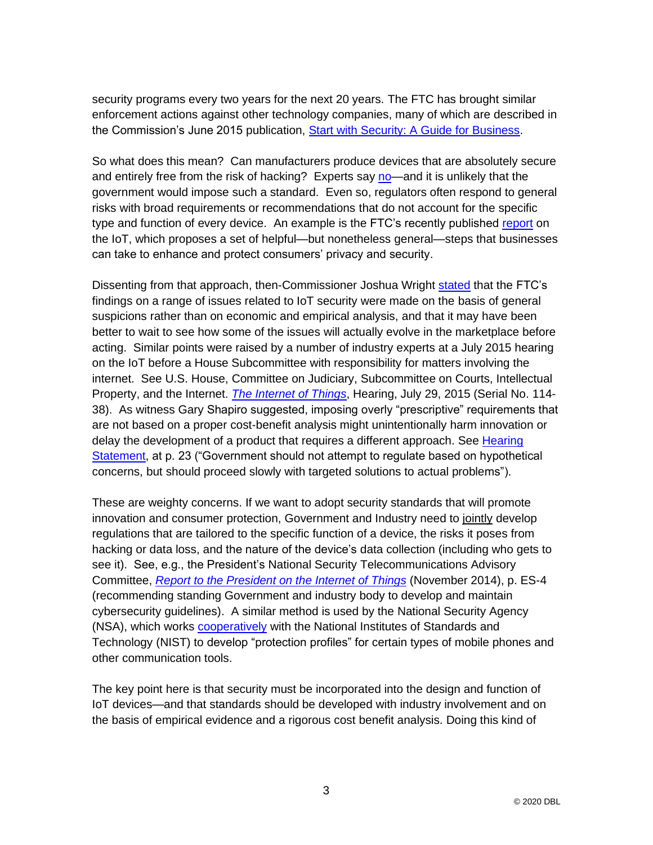security programs every two years for the next 20 years. The FTC has brought similar enforcement actions against other technology companies, many of which are described in the Commission's June 2015 publication, [Start with Security: A Guide for Business.](https://www.ftc.gov/system/files/documents/plain-language/pdf0205-startwithsecurity.pdf)

So what does this mean? Can manufacturers produce devices that are absolutely secure and entirely free from the risk of hacking? Experts say [no—](https://fcw.com/articles/2015/04/16/iot-is-indefensible.aspx)and it is unlikely that the government would impose such a standard. Even so, regulators often respond to general risks with broad requirements or recommendations that do not account for the specific type and function of every device. An example is the FTC's recently published [report](https://www.ftc.gov/system/files/documents/reports/federal-trade-commission-staff-report-november-2013-workshop-entitled-internet-things-privacy/150127iotrpt.pdf) on the IoT, which proposes a set of helpful—but nonetheless general—steps that businesses can take to enhance and protect consumers' privacy and security.

Dissenting from that approach, then-Commissioner Joshua Wright [stated](https://www.ftc.gov/system/files/documents/public_statements/644381/150521iotchamber.pdf) that the FTC's findings on a range of issues related to IoT security were made on the basis of general suspicions rather than on economic and empirical analysis, and that it may have been better to wait to see how some of the issues will actually evolve in the marketplace before acting. Similar points were raised by a number of industry experts at a July 2015 hearing on the IoT before a House Subcommittee with responsibility for matters involving the internet. See U.S. House, Committee on Judiciary, Subcommittee on Courts, Intellectual Property, and the Internet. *[The Internet of Things](http://judiciary.house.gov/_cache/files/5378eb3d-fc2a-48e6-b45d-0a7ff050ec3d/114-38-95686.pdf)*, Hearing, July 29, 2015 (Serial No. 114- 38). As witness Gary Shapiro suggested, imposing overly "prescriptive" requirements that are not based on a proper cost-benefit analysis might unintentionally harm innovation or delay the development of a product that requires a different approach. See [Hearing](http://judiciary.house.gov/_cache/files/5378eb3d-fc2a-48e6-b45d-0a7ff050ec3d/114-38-95686.pdf) [Statement,](http://judiciary.house.gov/_cache/files/5378eb3d-fc2a-48e6-b45d-0a7ff050ec3d/114-38-95686.pdf) at p. 23 ("Government should not attempt to regulate based on hypothetical concerns, but should proceed slowly with targeted solutions to actual problems").

These are weighty concerns. If we want to adopt security standards that will promote innovation and consumer protection, Government and Industry need to jointly develop regulations that are tailored to the specific function of a device, the risks it poses from hacking or data loss, and the nature of the device's data collection (including who gets to see it). See, e.g., the President's National Security Telecommunications Advisory Committee, *[Report to the President on the Internet of Things](http://www.dhs.gov/sites/default/files/publications/NSTAC%20Report%20to%20the%20President%20on%20the%20Internet%20of%20Things%20Nov%202014%20%28updat%20%20%20.pdf)* (November 2014), p. ES-4 (recommending standing Government and industry body to develop and maintain cybersecurity guidelines). A similar method is used by the National Security Agency (NSA), which works [cooperatively](https://www.niap-ccevs.org/) with the National Institutes of Standards and Technology (NIST) to develop "protection profiles" for certain types of mobile phones and other communication tools.

The key point here is that security must be incorporated into the design and function of IoT devices—and that standards should be developed with industry involvement and on the basis of empirical evidence and a rigorous cost benefit analysis. Doing this kind of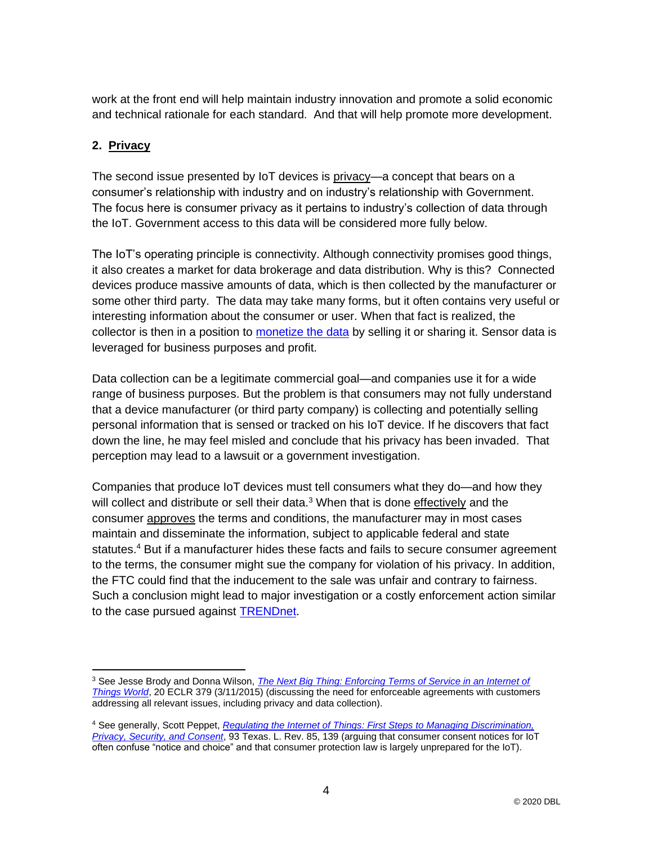work at the front end will help maintain industry innovation and promote a solid economic and technical rationale for each standard. And that will help promote more development.

## **2. Privacy**

The second issue presented by IoT devices is privacy—a concept that bears on a consumer's relationship with industry and on industry's relationship with Government. The focus here is consumer privacy as it pertains to industry's collection of data through the IoT. Government access to this data will be considered more fully below.

The IoT's operating principle is connectivity. Although connectivity promises good things, it also creates a market for data brokerage and data distribution. Why is this? Connected devices produce massive amounts of data, which is then collected by the manufacturer or some other third party. The data may take many forms, but it often contains very useful or interesting information about the consumer or user. When that fact is realized, the collector is then in a position to [monetize the data](http://insights.wired.com/profiles/blogs/monetizing-the-machine-business-models-for-the-internet-of-things#axzz3pDAyERYK) by selling it or sharing it. Sensor data is leveraged for business purposes and profit.

Data collection can be a legitimate commercial goal—and companies use it for a wide range of business purposes. But the problem is that consumers may not fully understand that a device manufacturer (or third party company) is collecting and potentially selling personal information that is sensed or tracked on his IoT device. If he discovers that fact down the line, he may feel misled and conclude that his privacy has been invaded. That perception may lead to a lawsuit or a government investigation.

Companies that produce IoT devices must tell consumers what they do—and how they will collect and distribute or sell their data.<sup>3</sup> When that is done effectively and the consumer approves the terms and conditions, the manufacturer may in most cases maintain and disseminate the information, subject to applicable federal and state statutes.<sup>4</sup> But if a manufacturer hides these facts and fails to secure consumer agreement to the terms, the consumer might sue the company for violation of his privacy. In addition, the FTC could find that the inducement to the sale was unfair and contrary to fairness. Such a conclusion might lead to major investigation or a costly enforcement action similar to the case pursued against [TRENDnet.](https://www.ftc.gov/news-events/press-releases/2013/09/marketer-internet-connected-home-security-video-cameras-settles)

<sup>3</sup> See Jesse Brody and Donna Wilson, *[The Next Big Thing: Enforcing Terms of Service in an Internet of](https://www.manatt.com/uploadedFiles/Content/4_News_and_Events/Article_By_Us/Bloomberg%20BNA%20Electronic%20Commerce%20Law%20Report%203-11-15.pdf)  [Things World](https://www.manatt.com/uploadedFiles/Content/4_News_and_Events/Article_By_Us/Bloomberg%20BNA%20Electronic%20Commerce%20Law%20Report%203-11-15.pdf)*, 20 ECLR 379 (3/11/2015) (discussing the need for enforceable agreements with customers addressing all relevant issues, including privacy and data collection).

<sup>4</sup> See generally, Scott Peppet, *[Regulating the Internet of Things: First Steps to Managing Discrimination,](http://www.texaslrev.com/regulating-the-internet-of-things-first-steps-toward-managing-discrimination-privacy-security-and-consent/)  [Privacy, Security, and Consent](http://www.texaslrev.com/regulating-the-internet-of-things-first-steps-toward-managing-discrimination-privacy-security-and-consent/)*, 93 Texas. L. Rev. 85, 139 (arguing that consumer consent notices for IoT often confuse "notice and choice" and that consumer protection law is largely unprepared for the IoT).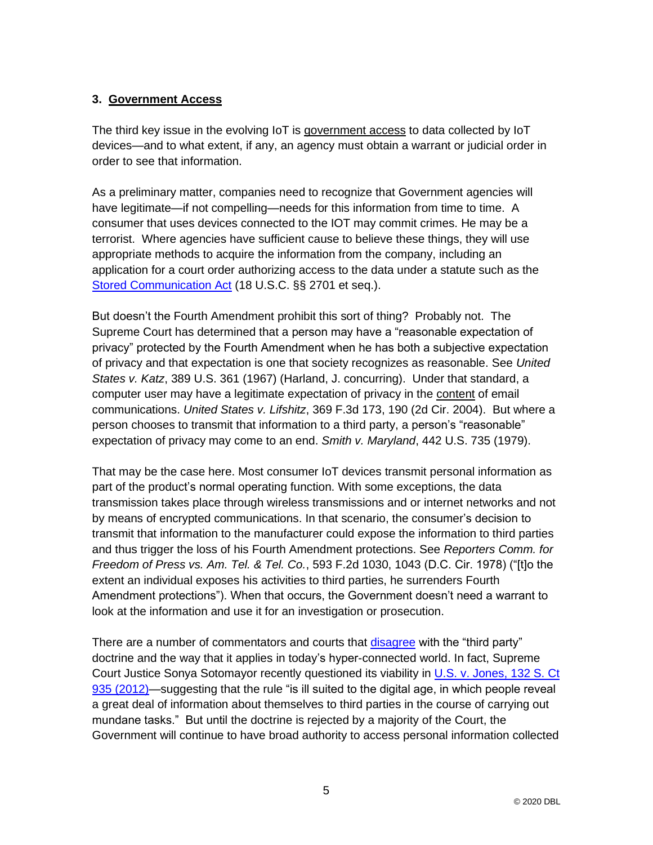## **3. Government Access**

The third key issue in the evolving IoT is government access to data collected by IoT devices—and to what extent, if any, an agency must obtain a warrant or judicial order in order to see that information.

As a preliminary matter, companies need to recognize that Government agencies will have legitimate—if not compelling—needs for this information from time to time. A consumer that uses devices connected to the IOT may commit crimes. He may be a terrorist. Where agencies have sufficient cause to believe these things, they will use appropriate methods to acquire the information from the company, including an application for a court order authorizing access to the data under a statute such as the [Stored Communication Act](https://www.law.cornell.edu/uscode/text/18/part-I/chapter-121#.Vh_TWCunGdo) (18 U.S.C. §§ 2701 et seq.).

But doesn't the Fourth Amendment prohibit this sort of thing? Probably not. The Supreme Court has determined that a person may have a "reasonable expectation of privacy" protected by the Fourth Amendment when he has both a subjective expectation of privacy and that expectation is one that society recognizes as reasonable. See *United States v. Katz*, 389 U.S. 361 (1967) (Harland, J. concurring). Under that standard, a computer user may have a legitimate expectation of privacy in the content of email communications. *United States v. Lifshitz*, 369 F.3d 173, 190 (2d Cir. 2004). But where a person chooses to transmit that information to a third party, a person's "reasonable" expectation of privacy may come to an end. *Smith v. Maryland*, 442 U.S. 735 (1979).

That may be the case here. Most consumer IoT devices transmit personal information as part of the product's normal operating function. With some exceptions, the data transmission takes place through wireless transmissions and or internet networks and not by means of encrypted communications. In that scenario, the consumer's decision to transmit that information to the manufacturer could expose the information to third parties and thus trigger the loss of his Fourth Amendment protections. See *Reporters Comm. for Freedom of Press vs. Am. Tel. & Tel. Co.*, 593 F.2d 1030, 1043 (D.C. Cir. 1978) ("[t]o the extent an individual exposes his activities to third parties, he surrenders Fourth Amendment protections"). When that occurs, the Government doesn't need a warrant to look at the information and use it for an investigation or prosecution.

There are a number of commentators and courts that [disagree](https://www.eff.org/deeplinks/2014/06/smith-v-maryland-turns-35-its-healths-declining) with the "third party" doctrine and the way that it applies in today's hyper-connected world. In fact, Supreme Court Justice Sonya Sotomayor recently questioned its viability in [U.S. v. Jones, 132 S.](https://www.law.cornell.edu/supct/pdf/10-1259.pdf) Ct [935 \(2012\)—](https://www.law.cornell.edu/supct/pdf/10-1259.pdf)suggesting that the rule "is ill suited to the digital age, in which people reveal a great deal of information about themselves to third parties in the course of carrying out mundane tasks." But until the doctrine is rejected by a majority of the Court, the Government will continue to have broad authority to access personal information collected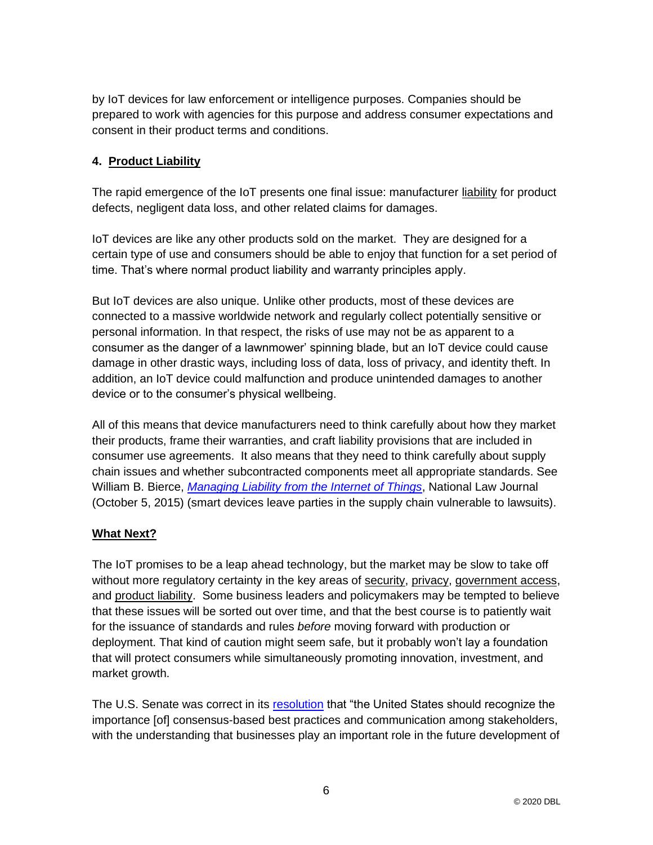by IoT devices for law enforcement or intelligence purposes. Companies should be prepared to work with agencies for this purpose and address consumer expectations and consent in their product terms and conditions.

## **4. Product Liability**

The rapid emergence of the IoT presents one final issue: manufacturer liability for product defects, negligent data loss, and other related claims for damages.

IoT devices are like any other products sold on the market. They are designed for a certain type of use and consumers should be able to enjoy that function for a set period of time. That's where normal product liability and warranty principles apply.

But IoT devices are also unique. Unlike other products, most of these devices are connected to a massive worldwide network and regularly collect potentially sensitive or personal information. In that respect, the risks of use may not be as apparent to a consumer as the danger of a lawnmower' spinning blade, but an IoT device could cause damage in other drastic ways, including loss of data, loss of privacy, and identity theft. In addition, an IoT device could malfunction and produce unintended damages to another device or to the consumer's physical wellbeing.

All of this means that device manufacturers need to think carefully about how they market their products, frame their warranties, and craft liability provisions that are included in consumer use agreements. It also means that they need to think carefully about supply chain issues and whether subcontracted components meet all appropriate standards. See William B. Bierce, *[Managing Liability from the Internet of Things](http://www.nationallawjournal.com/id=1202738795908/Managing-Liability-from-the-Internet-of-Things?slreturn=20150915112507)*, National Law Journal (October 5, 2015) (smart devices leave parties in the supply chain vulnerable to lawsuits).

# **What Next?**

The IoT promises to be a leap ahead technology, but the market may be slow to take off without more regulatory certainty in the key areas of security, privacy, government access, and product liability. Some business leaders and policymakers may be tempted to believe that these issues will be sorted out over time, and that the best course is to patiently wait for the issuance of standards and rules *before* moving forward with production or deployment. That kind of caution might seem safe, but it probably won't lay a foundation that will protect consumers while simultaneously promoting innovation, investment, and market growth.

The U.S. Senate was correct in its [resolution](https://www.congress.gov/114/bills/sres110/BILLS-114sres110ats.pdf) that "the United States should recognize the importance [of] consensus-based best practices and communication among stakeholders, with the understanding that businesses play an important role in the future development of